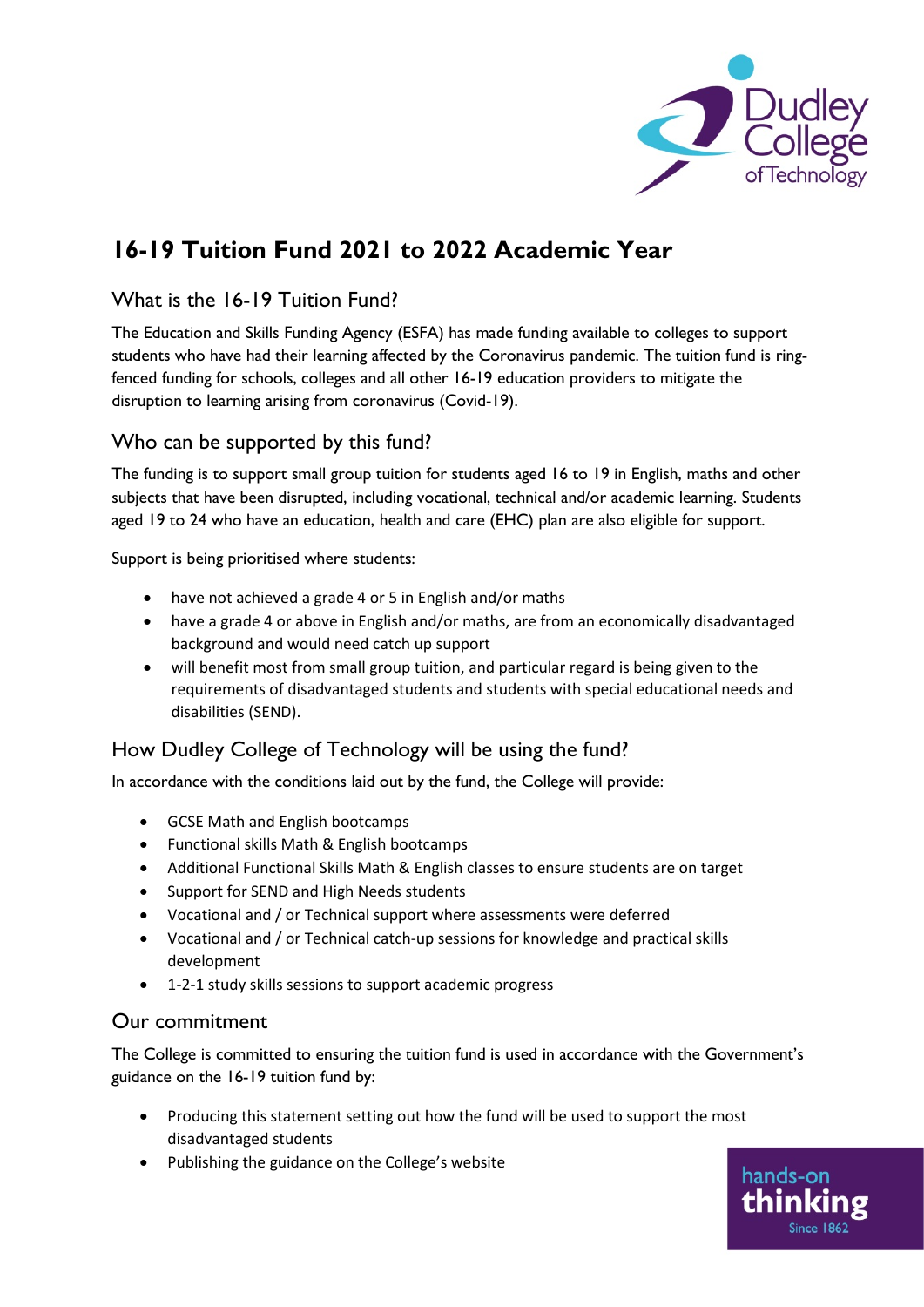

hands-on

# **16-19 Tuition Fund 2021 to 2022 Academic Year**

## What is the 16-19 Tuition Fund?

The Education and Skills Funding Agency (ESFA) has made funding available to colleges to support students who have had their learning affected by the Coronavirus pandemic. The tuition fund is ringfenced funding for schools, colleges and all other 16-19 education providers to mitigate the disruption to learning arising from coronavirus (Covid-19).

## Who can be supported by this fund?

The funding is to support small group tuition for students aged 16 to 19 in English, maths and other subjects that have been disrupted, including vocational, technical and/or academic learning. Students aged 19 to 24 who have an education, health and care (EHC) plan are also eligible for support.

Support is being prioritised where students:

- have not achieved a grade 4 or 5 in English and/or maths
- have a grade 4 or above in English and/or maths, are from an economically disadvantaged background and would need catch up support
- will benefit most from small group tuition, and particular regard is being given to the requirements of disadvantaged students and students with special educational needs and disabilities (SEND).

#### How Dudley College of Technology will be using the fund?

In accordance with the conditions laid out by the fund, the College will provide:

- GCSE Math and English bootcamps
- Functional skills Math & English bootcamps
- Additional Functional Skills Math & English classes to ensure students are on target
- Support for SEND and High Needs students
- Vocational and / or Technical support where assessments were deferred
- Vocational and / or Technical catch-up sessions for knowledge and practical skills development
- 1-2-1 study skills sessions to support academic progress

#### Our commitment

The College is committed to ensuring the tuition fund is used in accordance with the Government's guidance on the 16-19 tuition fund by:

- Producing this statement setting out how the fund will be used to support the most disadvantaged students
- Publishing the guidance on the College's website